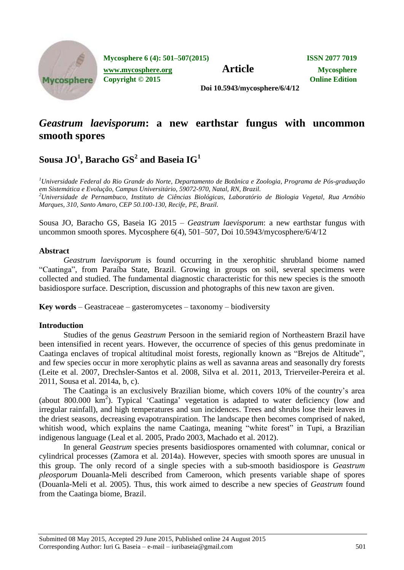

**Mycosphere 6 (4): 501–507(2015) ISSN 2077 7019**

**Article Mycosphere.org Article Mycosphere** 

**Copyright © 2015 Online Edition**

**Doi 10.5943/mycosphere/6/4/12**

# *Geastrum laevisporum***: a new earthstar fungus with uncommon smooth spores**

# ${\bf S}$ ousa J ${\bf O}^1$ , Baracho  ${\bf GS}^2$  and Baseia  ${\bf IG}^1$

*<sup>1</sup>Universidade Federal do Rio Grande do Norte, Departamento de Botânica e Zoologia, Programa de Pós-graduação em Sistemática e Evolução, Campus Universitário, 59072-970, Natal, RN, Brazil. <sup>2</sup>Universidade de Pernambuco, Instituto de Ciências Biológicas, Laboratório de Biologia Vegetal, Rua Arnóbio Marques, 310, Santo Amaro, CEP 50.100-130, Recife, PE, Brazil.*

Sousa JO, Baracho GS, Baseia IG 2015 – *Geastrum laevisporum*: a new earthstar fungus with uncommon smooth spores. Mycosphere 6(4), 501–507, Doi 10.5943/mycosphere/6/4/12

### **Abstract**

*Geastrum laevisporum* is found occurring in the xerophitic shrubland biome named "Caatinga", from Paraíba State, Brazil. Growing in groups on soil, several specimens were collected and studied. The fundamental diagnostic characteristic for this new species is the smooth basidiospore surface. Description, discussion and photographs of this new taxon are given.

**Key words** – Geastraceae – gasteromycetes – taxonomy – biodiversity

## **Introduction**

Studies of the genus *Geastrum* Persoon in the semiarid region of Northeastern Brazil have been intensified in recent years. However, the occurrence of species of this genus predominate in Caatinga enclaves of tropical altitudinal moist forests, regionally known as "Brejos de Altitude", and few species occur in more xerophytic plains as well as savanna areas and seasonally dry forests (Leite et al. 2007, Drechsler-Santos et al. 2008, Silva et al. 2011, 2013, Trierveiler-Pereira et al. 2011, Sousa et al. 2014a, b, c).

The Caatinga is an exclusively Brazilian biome, which covers 10% of the country"s area (about 800.000 km<sup>2</sup>). Typical 'Caatinga' vegetation is adapted to water deficiency (low and irregular rainfall), and high temperatures and sun incidences. Trees and shrubs lose their leaves in the driest seasons, decreasing evapotranspiration. The landscape then becomes comprised of naked, whitish wood, which explains the name Caatinga, meaning "white forest" in Tupi, a Brazilian indigenous language (Leal et al. 2005, Prado 2003, Machado et al. 2012).

In general *Geastrum* species presents basidiospores ornamented with columnar, conical or cylindrical processes (Zamora et al. 2014a). However, species with smooth spores are unusual in this group. The only record of a single species with a sub-smooth basidiospore is *Geastrum pleosporum* Douanla-Meli described from Cameroon, which presents variable shape of spores (Douanla-Meli et al. 2005). Thus, this work aimed to describe a new species of *Geastrum* found from the Caatinga biome, Brazil.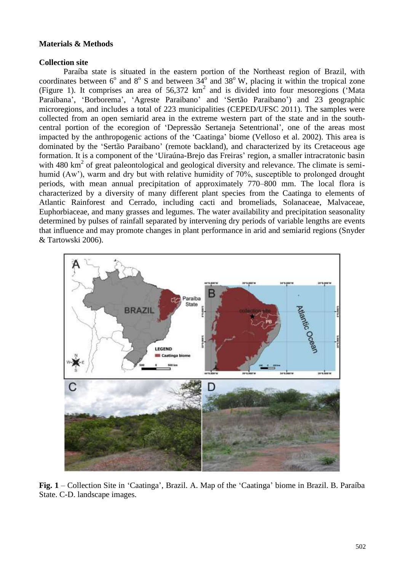### **Materials & Methods**

#### **Collection site**

Paraíba state is situated in the eastern portion of the Northeast region of Brazil, with coordinates between  $6^{\circ}$  and  $8^{\circ}$  S and between  $34^{\circ}$  and  $38^{\circ}$  W, placing it within the tropical zone (Figure 1). It comprises an area of  $56,372 \text{ km}^2$  and is divided into four mesoregions ('Mata Paraibana', 'Borborema', 'Agreste Paraibano' and 'Sertão Paraibano') and 23 geographic microregions, and includes a total of 223 municipalities (CEPED/UFSC 2011). The samples were collected from an open semiarid area in the extreme western part of the state and in the southcentral portion of the ecoregion of "Depressão Sertaneja Setentrional", one of the areas most impacted by the anthropogenic actions of the "Caatinga" biome (Velloso et al. 2002). This area is dominated by the "Sertão Paraibano" (remote backland), and characterized by its Cretaceous age formation. It is a component of the 'Uiraúna-Brejo das Freiras' region, a smaller intracratonic basin with 480 km<sup>2</sup> of great paleontological and geological diversity and relevance. The climate is semihumid (Aw'), warm and dry but with relative humidity of 70%, susceptible to prolonged drought periods, with mean annual precipitation of approximately 770–800 mm. The local flora is characterized by a diversity of many different plant species from the Caatinga to elements of Atlantic Rainforest and Cerrado, including cacti and bromeliads, Solanaceae, Malvaceae, Euphorbiaceae, and many grasses and legumes. The water availability and precipitation seasonality determined by pulses of rainfall separated by intervening dry periods of variable lengths are events that influence and may promote changes in plant performance in arid and semiarid regions (Snyder & Tartowski 2006).



**Fig. 1** – Collection Site in "Caatinga", Brazil. A. Map of the "Caatinga" biome in Brazil. B. Paraíba State. C-D. landscape images.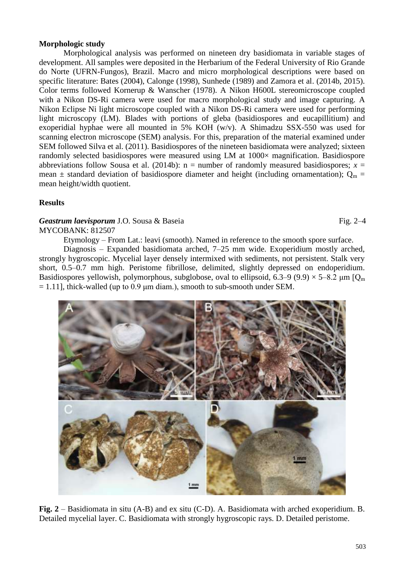#### **Morphologic study**

Morphological analysis was performed on nineteen dry basidiomata in variable stages of development. All samples were deposited in the Herbarium of the Federal University of Rio Grande do Norte (UFRN-Fungos), Brazil. Macro and micro morphological descriptions were based on specific literature: Bates (2004), Calonge (1998), Sunhede (1989) and Zamora et al. (2014b, 2015). Color terms followed Kornerup & Wanscher (1978). A Nikon H600L stereomicroscope coupled with a Nikon DS-Ri camera were used for macro morphological study and image capturing. A Nikon Eclipse Ni light microscope coupled with a Nikon DS-Ri camera were used for performing light microscopy (LM). Blades with portions of gleba (basidiospores and eucapillitium) and exoperidial hyphae were all mounted in 5% KOH (w/v). A Shimadzu SSX-550 was used for scanning electron microscope (SEM) analysis. For this, preparation of the material examined under SEM followed Silva et al. (2011). Basidiospores of the nineteen basidiomata were analyzed; sixteen randomly selected basidiospores were measured using LM at 1000 $\times$  magnification. Basidiospore abbreviations follow Sousa et al. (2014b):  $n =$  number of randomly measured basidiospores;  $x =$ mean  $\pm$  standard deviation of basidiospore diameter and height (including ornamentation); O<sub>m</sub> = mean height/width quotient.

#### **Results**

#### **Geastrum laevisporum** J.O. Sousa & Baseia Fig. 2–4 MYCOBANK: 812507

Etymology – From Lat.: leavi (smooth). Named in reference to the smooth spore surface.

Diagnosis – Expanded basidiomata arched, 7–25 mm wide. Exoperidium mostly arched, strongly hygroscopic. Mycelial layer densely intermixed with sediments, not persistent. Stalk very short, 0.5–0.7 mm high. Peristome fibrillose, delimited, slightly depressed on endoperidium. Basidiospores yellowish, polymorphous, subglobose, oval to ellipsoid, 6.3–9 (9.9)  $\times$  5–8.2  $\mu$ m [Q<sub>m</sub>  $= 1.11$ ], thick-walled (up to 0.9 µm diam.), smooth to sub-smooth under SEM.



**Fig. 2** – Basidiomata in situ (A-B) and ex situ (C-D). A. Basidiomata with arched exoperidium. B. Detailed mycelial layer. C. Basidiomata with strongly hygroscopic rays. D. Detailed peristome.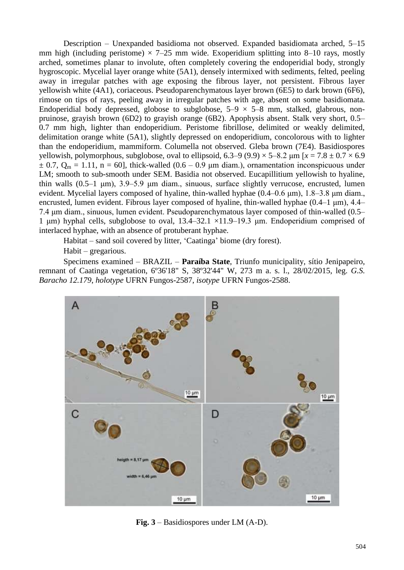Description – Unexpanded basidioma not observed. Expanded basidiomata arched, 5–15 mm high (including peristome)  $\times$  7–25 mm wide. Exoperidium splitting into 8–10 rays, mostly arched, sometimes planar to involute, often completely covering the endoperidial body, strongly hygroscopic. Mycelial layer orange white (5A1), densely intermixed with sediments, felted, peeling away in irregular patches with age exposing the fibrous layer, not persistent. Fibrous layer yellowish white (4A1), coriaceous. Pseudoparenchymatous layer brown (6E5) to dark brown (6F6), rimose on tips of rays, peeling away in irregular patches with age, absent on some basidiomata. Endoperidial body depressed, globose to subglobose,  $5-9 \times 5-8$  mm, stalked, glabrous, nonpruinose, grayish brown (6D2) to grayish orange (6B2). Apophysis absent. Stalk very short, 0.5– 0.7 mm high, lighter than endoperidium. Peristome fibrillose, delimited or weakly delimited, delimitation orange white (5A1), slightly depressed on endoperidium, concolorous with to lighter than the endoperidium, mammiform. Columella not observed. Gleba brown (7E4). Basidiospores yellowish, polymorphous, subglobose, oval to ellipsoid,  $6.3-9$  (9.9)  $\times$  5-8.2  $\mu$ m [ $x = 7.8 \pm 0.7 \times 6.9$ ]  $\pm$  0.7, Q<sub>m</sub> = 1.11, n = 60], thick-walled (0.6 – 0.9 µm diam.), ornamentation inconspicuous under LM; smooth to sub-smooth under SEM. Basidia not observed. Eucapillitium yellowish to hyaline, thin walls (0.5–1 μm), 3.9–5.9 μm diam., sinuous, surface slightly verrucose, encrusted, lumen evident. Mycelial layers composed of hyaline, thin-walled hyphae  $(0.4-0.6 \mu m)$ ,  $1.8-3.8 \mu m$  diam., encrusted, lumen evident. Fibrous layer composed of hyaline, thin-walled hyphae (0.4–1 μm), 4.4– 7.4 μm diam., sinuous, lumen evident. Pseudoparenchymatous layer composed of thin-walled (0.5– 1 μm) hyphal cells, subglobose to oval,  $13.4-32.1 \times 11.9-19.3$  μm. Endoperidium comprised of interlaced hyphae, with an absence of protuberant hyphae.

Habitat – sand soil covered by litter, "Caatinga" biome (dry forest).

Habit – gregarious.

Specimens examined – BRAZIL – **Paraíba State**, Triunfo municipality, sítio Jenipapeiro, remnant of Caatinga vegetation, 6º36'18" S, 38º32'44" W, 273 m a. s. l., 28/02/2015, leg. *G.S. Baracho 12.179*, *holotype* UFRN Fungos-2587, *isotype* UFRN Fungos-2588.



**Fig. 3** – Basidiospores under LM (A-D).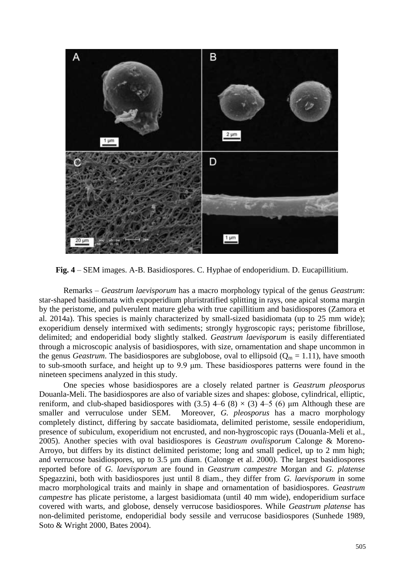

**Fig. 4** – SEM images. A-B. Basidiospores. C. Hyphae of endoperidium. D. Eucapillitium.

Remarks – *Geastrum laevisporum* has a macro morphology typical of the genus *Geastrum*: star-shaped basidiomata with expoperidium pluristratified splitting in rays, one apical stoma margin by the peristome, and pulverulent mature gleba with true capillitium and basidiospores (Zamora et al. 2014a). This species is mainly characterized by small-sized basidiomata (up to 25 mm wide); exoperidium densely intermixed with sediments; strongly hygroscopic rays; peristome fibrillose, delimited; and endoperidial body slightly stalked. *Geastrum laevisporum* is easily differentiated through a microscopic analysis of basidiospores, with size, ornamentation and shape uncommon in the genus *Geastrum*. The basidiospores are subglobose, oval to ellipsoid ( $Q_m = 1.11$ ), have smooth to sub-smooth surface, and height up to 9.9 μm. These basidiospores patterns were found in the nineteen specimens analyzed in this study.

One species whose basidiospores are a closely related partner is *Geastrum pleosporus* Douanla-Meli. The basidiospores are also of variable sizes and shapes: globose, cylindrical, elliptic, reniform, and club-shaped basidiospores with (3.5)  $4-6$  (8)  $\times$  (3)  $4-5$  (6)  $\mu$ m Although these are smaller and verruculose under SEM. Moreover, *G. pleosporus* has a macro morphology completely distinct, differing by saccate basidiomata, delimited peristome, sessile endoperidium, presence of subiculum, exoperidium not encrusted, and non-hygroscopic rays (Douanla-Meli et al., 2005). Another species with oval basidiospores is *Geastrum ovalisporum* Calonge & Moreno-Arroyo, but differs by its distinct delimited peristome; long and small pedicel, up to 2 mm high; and verrucose basidiospores, up to 3.5 μm diam. (Calonge et al. 2000). The largest basidiospores reported before of *G. laevisporum* are found in *Geastrum campestre* Morgan and *G. platense* Spegazzini, both with basidiospores just until 8 diam., they differ from *G. laevisporum* in some macro morphological traits and mainly in shape and ornamentation of basidiospores. *Geastrum campestre* has plicate peristome, a largest basidiomata (until 40 mm wide), endoperidium surface covered with warts, and globose, densely verrucose basidiospores. While *Geastrum platense* has non-delimited peristome, endoperidial body sessile and verrucose basidiospores (Sunhede 1989, Soto & Wright 2000, Bates 2004).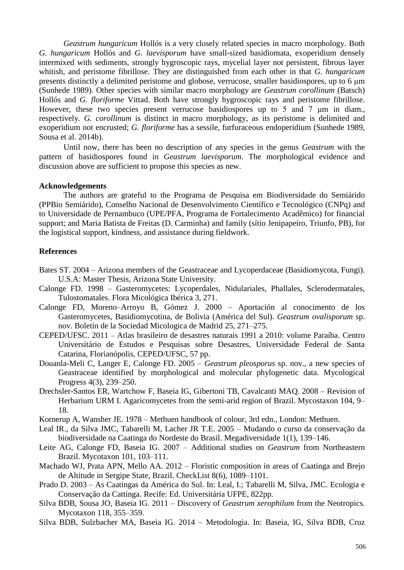*Geastrum hungaricum* Hollós is a very closely related species in macro morphology. Both *G. hungaricum* Hollós and *G. laevisporum* have small-sized basidiomata, exoperidium densely intermixed with sediments, strongly hygroscopic rays, mycelial layer not persistent, fibrous layer whitish, and peristome fibrillose. They are distinguished from each other in that *G. hungaricum* presents distinctly a delimited peristome and globose, verrucose, smaller basidiospores, up to 6 μm (Sunhede 1989). Other species with similar macro morphology are *Geastrum corollinum* (Batsch) Hollós and *G. floriforme* Vittad. Both have strongly hygroscopic rays and peristome fibrillose. However, these two species present verrucose basidiospores up to 5 and 7 μm in diam., respectively. *G. corollinum* is distinct in macro morphology, as its peristome is delimited and exoperidium not encrusted; *G. floriforme* has a sessile, furfuraceous endoperidium (Sunhede 1989, Sousa et al. 2014b).

Until now, there has been no description of any species in the genus *Geastrum* with the pattern of basidiospores found in *Geastrum laevisporum*. The morphological evidence and discussion above are sufficient to propose this species as new.

#### **Acknowledgements**

The authors are grateful to the Programa de Pesquisa em Biodiversidade do Semiárido (PPBio Semiárido), Conselho Nacional de Desenvolvimento Científico e Tecnológico (CNPq) and to Universidade de Pernambuco (UPE/PFA, Programa de Fortalecimento Acadêmico) for financial support; and Maria Batista de Freitas (D. Carminha) and family (sítio Jenipapeiro, Triunfo, PB), for the logistical support, kindness, and assistance during fieldwork.

#### **References**

- Bates ST. 2004 Arizona members of the Geastraceae and Lycoperdaceae (Basidiomycota, Fungi). U.S.A: Master Thesis, Arizona State University.
- Calonge FD. 1998 Gasteromycetes: Lycoperdales, Nidulariales, Phallales, Sclerodermatales, Tulostomatales. Flora Micológica Ibérica 3, 271.
- Calonge FD, Moreno–Arroyo B, Gómez J. 2000 Aportación al conocimento de los Gasteromycetes, Basidiomycotina, de Bolivia (América del Sul). *Geastrum ovalisporum* sp. nov. Boletín de la Sociedad Micologica de Madrid 25, 271–275.
- CEPED/UFSC. 2011 Atlas brasileiro de desastres naturais 1991 a 2010: volume Paraíba. Centro Universitário de Estudos e Pesquisas sobre Desastres, Universidade Federal de Santa Catarina, Florianópolis, CEPED/UFSC, 57 pp.
- Douanla-Meli C, Langer E, Calonge FD. 2005 *Geastrum pleosporus* sp. nov., a new species of Geastraceae identified by morphological and molecular phylogenetic data. Mycological Progress 4(3), 239–250.
- Drechsler-Santos ER, Wartchow F, Baseia IG, Gibertoni TB, Cavalcanti MAQ. 2008 Revision of Herbarium URM I. Agaricomycetes from the semi-arid region of Brazil. Mycostaxon 104, 9– 18.
- Kornerup A, Wansher JE. 1978 Methuen handbook of colour, 3rd edn., London: Methuen.
- Leal IR., da Silva JMC, Tabarelli M, Lacher JR T.E. 2005 Mudando o curso da conservação da biodiversidade na Caatinga do Nordeste do Brasil. Megadiversidade 1(1), 139–146.
- Leite AG, Calonge FD, Baseia IG. 2007 Additional studies on *Geastrum* from Northeastern Brazil. Mycotaxon 101, 103–111.
- Machado WJ, Prata APN, Mello AA. 2012 Floristic composition in areas of Caatinga and Brejo de Altitude in Sergipe State, Brazil. CheckList 8(6), 1089–1101.
- Prado D. 2003 As Caatingas da América do Sul. In: Leal, I.; Tabarelli M, Silva, JMC. Ecologia e Conservação da Cattinga. Recife: Ed. Universitária UFPE, 822pp.
- Silva BDB, Sousa JO, Baseia IG. 2011 Discovery of *Geastrum xerophilum* from the Neotropics. Mycotaxon 118, 355–359.
- Silva BDB, Sulzbacher MA, Baseia IG. 2014 Metodologia. In: Baseia, IG, Silva BDB, Cruz